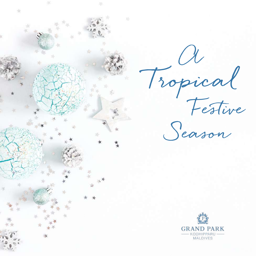

 $\mu$ Tropical

Festive Season

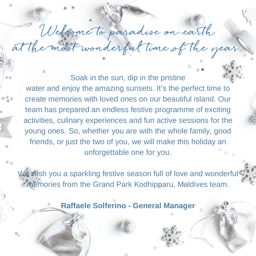Welcome to paradise on earth

at the most wonderful time of the year.

Soak in the sun, dip in the pristine water and enjoy the amazing sunsets. It's the perfect time to create memories with loved ones on our beautiful island. Our team has prepared an endless festive programme of exciting activities, culinary experiences and fun active sessions for the young ones. So, whether you are with the whole family, good friends, or just the two of you, we will make this holiday an unforgettable one for you.

We wish you a sparkling festive season full of love and wonderful memories from the Grand Park Kodhipparu, Maldives team.

**Raffaele Solferino - General Manager**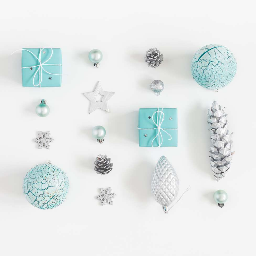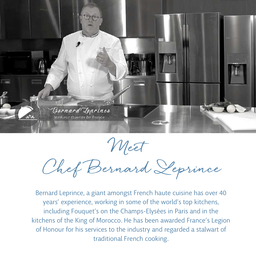

Meet

Chef Bernard Leprince

Bernard Leprince, a giant amongst French haute cuisine has over 40 years' experience, working in some of the world's top kitchens, including Fouquet's on the Champs-Elysées in Paris and in the kitchens of the King of Morocco. He has been awarded France's Legion of Honour for his services to the industry and regarded a stalwart of traditional French cooking.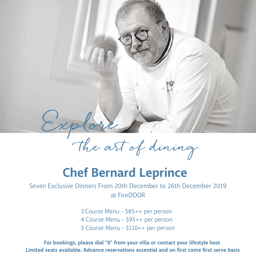

the art of dining

# Chef Bernard Leprince

Seven Exclusive Dinners From 20th December to 26th December 2019 at FireDOOR

> 3 Course Menu - \$85++ per person 4 Course Menu - \$95++ per person 5 Course Menu - \$110++ per person

For bookings, please dial "0" from your villa or contact your lifestyle host Limited seats available. Advance reservations essential and on first come first serve basis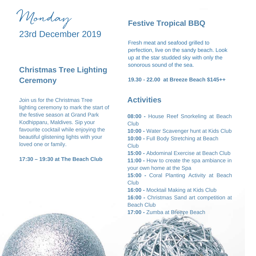Monday

23rd December 2019

### **Christmas Tree Lighting Ceremony**

Join us for the Christmas Tree lighting ceremony to mark the start of the festive season at Grand Park Kodhipparu, Maldives. Sip your favourite cocktail while enjoying the beautiful glistening lights with your loved one or family.

#### **17:30 – 19:30 at The Beach Club**

### **Festive Tropical BBQ**

Fresh meat and seafood grilled to perfection, live on the sandy beach. Look up at the star studded sky with only the sonorous sound of the sea.

#### **19.30 - 22.00 at Breeze Beach \$145++**

### **Activities**

**08:00 -** House Reef Snorkeling at Beach Club. **10:00 -** Water Scavenger hunt at Kids Club **10:00 -** Full Body Stretching at Beach Club **15:00 -** Abdominal Exercise at Beach Club **11:00 -** How to create the spa ambiance in your own home at the Spa **15:00 -** Coral Planting Activity at Beach Club **16:00 -** Mocktail Making at Kids Club **16:00 -** Christmas Sand art competition at Beach Club **17:00 -** Zumba at Breeze Beach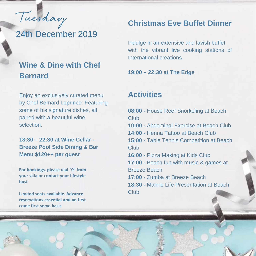Tuesday

### **Wine & Dine with Chef Bernard**

Enjoy an exclusively curated menu by Chef Bernard Leprince: Featuring some of his signature dishes, all paired with a beautiful wine selection.

**18:30 – 22:30 at Wine Cellar - Breeze Pool Side Dining & Bar Menu \$120++ per guest**

For bookings, please dial "0" from your villa or contact your lifestyle host

Limited seats available. Advance reservations essential and on first come first serve basis

### **Christmas Eve Buffet Dinner**

Indulge in an extensive and lavish buffet with the vibrant live cooking stations of International creations.

**19:00 – 22:30 at The Edge**

### **Activities**

**08:00 -** House Reef Snorkeling at Beach **Club 10:00 -** Abdominal Exercise at Beach Club **14:00 -** Henna Tattoo at Beach Club **15:00 -** Table Tennis Competition at Beach Club **16:00 -** Pizza Making at Kids Club **17:00 -** Beach fun with music & games at Breeze Beach **17:00 -** Zumba at Breeze Beach **18:30 -** Marine Life Presentation at Beach Club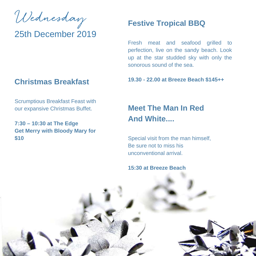Wednesday 25th December 2019

Scrumptious Breakfast Feast with our expansive Christmas Buffet.

**7:30 – 10:30 at The Edge Get Merry with Bloody Mary for \$10**

### **Festive Tropical BBQ**

Fresh meat and seafood grilled to perfection, live on the sandy beach. Look up at the star studded sky with only the sonorous sound of the sea.

**C 19.30 - 22.00 at Breeze Beach \$145++ hristmas Breakfast**

### **Meet The Man In Red And White....**

Special visit from the man himself, Be sure not to miss his unconventional arrival.

**15:30 at Breeze Beach**

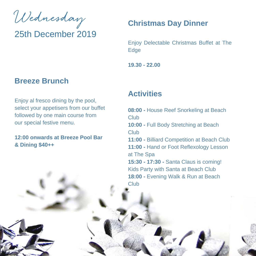Wednesday

### **Christmas Day Dinner**

Enjoy Delectable Christmas Buffet at The Edge

**19.30 - 22.00**

### **Breeze Brunch**

Enjoy al fresco dining by the pool, select your appetisers from our buffet followed by one main course from our special festive menu.

**12:00 onwards at Breeze Pool Bar & Dining \$40++**

### **Activities**

**08:00 -** House Reef Snorkeling at Beach Club **10:00 -** Full Body Stretching at Beach Club **11:00 -** Billiard Competition at Beach Club **11:00 -** Hand or Foot Reflexology Lesson at The Spa **15:30 - 17:30 -** Santa Claus is coming! Kids Party with Santa at Beach Club **18:00 -** Evening Walk & Run at Beach **Club**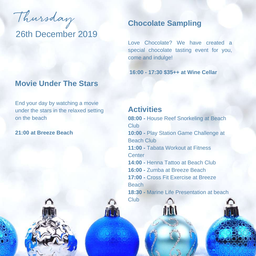Thursday

### **Movie Under The Stars**

End your day by watching a movie under the stars in the relaxed setting on the beach

#### **21:00 at Breeze Beach**

### **Chocolate Sampling**

Love Chocolate? We have created a special chocolate tasting event for you, come and indulge!

**16:00 - 17:30 \$35++ at Wine Cellar**

### **Activities 08:00 -** House Reef Snorkeling at Beach Club **10:00 -** Play Station Game Challenge at Beach Club **11:00 -** Tabata Workout at Fitness **Center 14:00 -** Henna Tattoo at Beach Club **16:00 -** Zumba at Breeze Beach **17:00 -** Cross Fit Exercise at Breeze **Beach 18:30 -** Marine Life Presentation at beach Club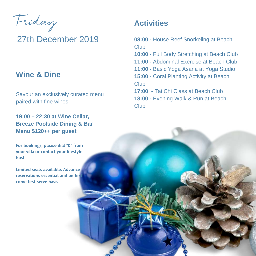Friday

### **Wine & Dine**

Savour an exclusively curated menu paired with fine wines.

**19:00 – 22:30 at Wine Cellar, Breeze Poolside Dining & Bar Menu \$120++ per guest**

For bookings, please dial "0" from your villa or contact your lifestyle host

Limited seats available. Advance reservations essential and on first come first serve basis

### **Activities**

**08:00 -** House Reef Snorkeling at Beach Club **10:00 -** Full Body Stretching at Beach Club **11:00 -** Abdominal Exercise at Beach Club **11:00 -** Basic Yoga Asana at Yoga Studio **15:00 -** Coral Planting Activity at Beach Club **17:00 -** Tai Chi Class at Beach Club **18:00 -** Evening Walk & Run at Beach Club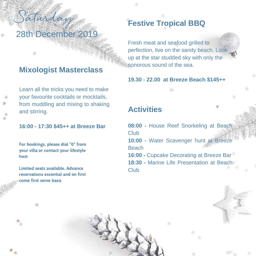Saturday

### **Mixologist Masterclass**

Learn all the tricks you need to make your favourite cocktails or mocktails, from muddling and mixing to shaking and stirring.

#### **16:00 - 17:30 \$45++ at Breeze Bar**

For bookings, please dial "0" from your villa or contact your lifestyle host

Limited seats available. Advance reservations essential and on first come first serve basis

### **Festive Tropical BBQ**

Fresh meat and seafood grilled to perfection, live on the sandy beach. Look up at the star studded sky with only the sonorous sound of the sea.

#### **19.30 - 22.00 at Breeze Beach \$145++**

### **Activities**

**08:00 -** House Reef Snorkeling at Beach Club **10:00 -** Water Scavenger hunt at Breeze Beach **16:00 -** Cupcake Decorating at Breeze Bar **18:30 -** Marine Life Presentation at Beach **Club**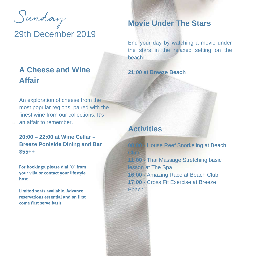Sunday

### **A Cheese and Wine Affair**

An exploration of cheese from the most popular regions, paired with the finest wine from our collections. It's an affair to remember.

**20:00 – 22:00 at Wine Cellar – Breeze Poolside Dining and Bar \$55++**

For bookings, please dial "0" from your villa or contact your lifestyle host

Limited seats available. Advance reservations essential and on first come first serve basis

### **Movie Under The Stars**

End your day by watching a movie under the stars in the relaxed setting on the beach

**21:00 at Breeze Beach**

### **Activities**

**08:00 -** House Reef Snorkeling at Beach

**11:00 -** Thai Massage Stretching basic lesson at The Spa **16:00 -** Amazing Race at Beach Club **17:00 -** Cross Fit Exercise at Breeze **Beach**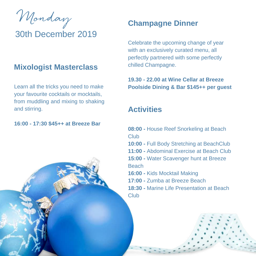Monday

### **Mixologist Masterclass**

Learn all the tricks you need to make your favourite cocktails or mocktails, from muddling and mixing to shaking and stirring.

#### **16:00 - 17:30 \$45++ at Breeze Bar**

### **Champagne Dinner**

Celebrate the upcoming change of year with an exclusively curated menu, all perfectly partnered with some perfectly chilled Champagne.

#### **19.30 - 22.00 at Wine Cellar at Breeze Poolside Dining & Bar \$145++ per guest**

### **Activities**

- **08:00 -** House Reef Snorkeling at Beach Club
- **10:00 -** Full Body Stretching at BeachClub
- **11:00 -** Abdominal Exercise at Beach Club
- **15:00 -** Water Scavenger hunt at Breeze Beach
- **16:00 -** Kids Mocktail Making
- **17:00 -** Zumba at Breeze Beach
- **18:30 -** Marine Life Presentation at Beach Club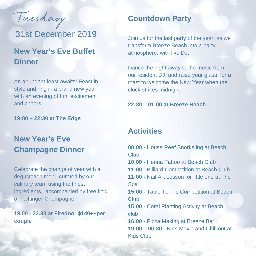Tuesday

### **New Year's Eve Buffet Dinner**

An abundant feast awaits! Feast in style and ring in a brand new year with an evening of fun, excitement and cheers!

**19:00 – 22:30 at The Edge**

### **New Year's Eve Champagne Dinner**

Celebrate the change of year with a degustation menu curated by our culinary team using the finest ingredients, accompanied by free flow of Taittinger Champagne.

**19.00 - 22.30 at Firedoor \$140++per couple**

### **Countdown Party**

Join us for the last party of the year, as we transform Breeze Beach into a party atmosphere, with live DJ.

Dance the night away to the music from our resident DJ, and raise your glass for a toast to welcome the New Year when the clock strikes midnight

**22:30 – 01:00 at Breeze Beach**

### **Activities**

**08:00 -** House Reef Snorkeling at Beach **Club 10:00 -** Henna Tattoo at Beach Club **11:00 -** Billiard Competition at Beach Club **11:00 -** Nail Art Lesson for little one at The Spa **15:00 -** Table Tennis Competition at Beach Club **15:00 -** Coral Planting Activity at Beach club **16:00 -** Pizza Making at Breeze Bar **19:00 – 00:30 -** Kids Movie and Chill out at Kids Club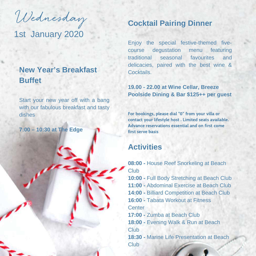Wednesday 1st January 2020

### **New Year's Breakfast Buffet**

Start your new year off with a bang with our fabulous breakfast and tasty dishes

**7:00 – 10:30 at The Edge**



Enjoy the special festive-themed fivecourse degustation menu featuring traditional seasonal favourites and delicacies, paired with the best wine & Cocktails.

#### **19.00 - 22.00 at Wine Cellar, Breeze Poolside Dining & Bar \$125++ per guest**

For bookings, please dial "0" from your villa or contact your lifestyle host . Limited seats available. Advance reservations essential and on first come first serve basis

### **Activities**

**08:00 -** House Reef Snorkeling at Beach **Club 10:00 -** Full Body Stretching at Beach Club **11:00 -** Abdominal Exercise at Beach Club **14:00 -** Billiard Competition at Beach Club **16:00 -** Tabata Workout at Fitness **Center 17:00 -** Zumba at Beach Club **18:00 -** Evening Walk & Run at Beach **Club 18:30 -** Marine Life Presentation at Beach Club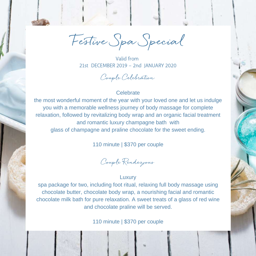Festive Spa Special

Valid from 21st DECEMBER 2019 – 2nd JANUARY 2020

Couple Celebration

#### Celebrate

the most wonderful moment of the year with your loved one and let us indulge you with a memorable wellness journey of body massage for complete relaxation, followed by revitalizing body wrap and an organic facial treatment and romantic luxury champagne bath with glass of champagne and praline chocolate for the sweet ending.

110 minute | \$370 per couple

Couple Rendezvous

#### Luxury

spa package for two, including foot ritual, relaxing full body massage using chocolate butter, chocolate body wrap, a nourishing facial and romantic chocolate milk bath for pure relaxation. A sweet treats of a glass of red wine and chocolate praline will be served.

110 minute | \$370 per couple